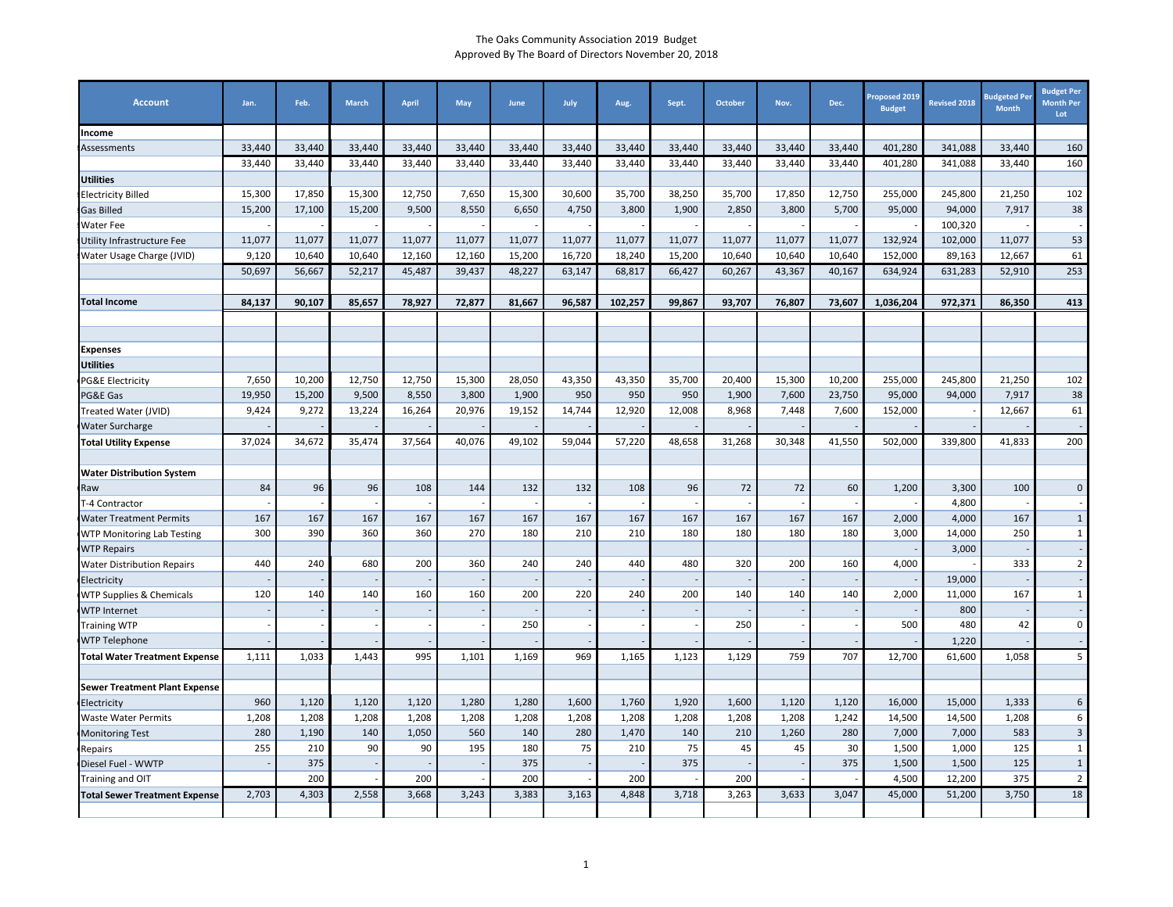| <b>Account</b>                       | Jan.   | Feb.   | <b>March</b> | April  | May    | June   | July   | Aug.    | Sept.  | October | Nov.   | Dec.   | Proposed 2019<br><b>Budget</b> | <b>Revised 2018</b> | <b>Sudgeted Pe</b><br><b>Month</b> | <b>Budget Per</b><br><b>Month Per</b><br>Lot |
|--------------------------------------|--------|--------|--------------|--------|--------|--------|--------|---------|--------|---------|--------|--------|--------------------------------|---------------------|------------------------------------|----------------------------------------------|
| Income                               |        |        |              |        |        |        |        |         |        |         |        |        |                                |                     |                                    |                                              |
| Assessments                          | 33,440 | 33,440 | 33,440       | 33,440 | 33,440 | 33,440 | 33,440 | 33,440  | 33,440 | 33,440  | 33,440 | 33,440 | 401,280                        | 341,088             | 33,440                             | 160                                          |
|                                      | 33,440 | 33,440 | 33,440       | 33,440 | 33,440 | 33,440 | 33,440 | 33,440  | 33,440 | 33,440  | 33,440 | 33,440 | 401,280                        | 341,088             | 33,440                             | 160                                          |
| <b>Utilities</b>                     |        |        |              |        |        |        |        |         |        |         |        |        |                                |                     |                                    |                                              |
| <b>Electricity Billed</b>            | 15,300 | 17,850 | 15,300       | 12,750 | 7,650  | 15,300 | 30,600 | 35,700  | 38,250 | 35,700  | 17,850 | 12,750 | 255,000                        | 245,800             | 21,250                             | 102                                          |
| <b>Gas Billed</b>                    | 15,200 | 17,100 | 15,200       | 9,500  | 8,550  | 6,650  | 4,750  | 3,800   | 1,900  | 2,850   | 3,800  | 5,700  | 95,000                         | 94,000              | 7,917                              | 38                                           |
| <b>Water Fee</b>                     |        |        |              |        |        |        |        |         |        |         |        |        |                                | 100,320             |                                    |                                              |
| Utility Infrastructure Fee           | 11,077 | 11,077 | 11,077       | 11,077 | 11,077 | 11,077 | 11,077 | 11,077  | 11,077 | 11,077  | 11,077 | 11,077 | 132,924                        | 102,000             | 11,077                             | 53                                           |
| Water Usage Charge (JVID)            | 9,120  | 10,640 | 10,640       | 12,160 | 12,160 | 15,200 | 16,720 | 18,240  | 15,200 | 10,640  | 10,640 | 10,640 | 152,000                        | 89,163              | 12,667                             | 61                                           |
|                                      | 50,697 | 56,667 | 52,217       | 45,487 | 39,437 | 48,227 | 63,147 | 68,817  | 66,427 | 60,267  | 43,367 | 40,167 | 634,924                        | 631,283             | 52,910                             | 253                                          |
| <b>Total Income</b>                  | 84,137 | 90,107 | 85,657       | 78,927 | 72,877 | 81,667 | 96,587 | 102,257 | 99,867 | 93,707  | 76,807 | 73,607 | 1,036,204                      | 972,371             | 86,350                             | 413                                          |
|                                      |        |        |              |        |        |        |        |         |        |         |        |        |                                |                     |                                    |                                              |
|                                      |        |        |              |        |        |        |        |         |        |         |        |        |                                |                     |                                    |                                              |
| <b>Expenses</b>                      |        |        |              |        |        |        |        |         |        |         |        |        |                                |                     |                                    |                                              |
| Utilities                            |        |        |              |        |        |        |        |         |        |         |        |        |                                |                     |                                    |                                              |
| <b>PG&amp;E Electricity</b>          | 7,650  | 10,200 | 12,750       | 12,750 | 15,300 | 28,050 | 43,350 | 43,350  | 35,700 | 20,400  | 15,300 | 10,200 | 255,000                        | 245,800             | 21,250                             | 102                                          |
| PG&E Gas                             | 19,950 | 15,200 | 9,500        | 8,550  | 3,800  | 1,900  | 950    | 950     | 950    | 1,900   | 7,600  | 23,750 | 95,000                         | 94,000              | 7,917                              | 38                                           |
| Treated Water (JVID)                 | 9,424  | 9,272  | 13,224       | 16,264 | 20,976 | 19,152 | 14,744 | 12,920  | 12,008 | 8,968   | 7,448  | 7,600  | 152,000                        |                     | 12,667                             | 61                                           |
| <b>Water Surcharge</b>               |        |        |              |        |        |        |        |         |        |         |        |        |                                |                     |                                    |                                              |
| <b>Total Utility Expense</b>         | 37,024 | 34,672 | 35,474       | 37,564 | 40,076 | 49,102 | 59,044 | 57,220  | 48,658 | 31,268  | 30,348 | 41,550 | 502,000                        | 339,800             | 41,833                             | 200                                          |
| <b>Water Distribution System</b>     |        |        |              |        |        |        |        |         |        |         |        |        |                                |                     |                                    |                                              |
| Raw                                  | 84     | 96     | 96           | 108    | 144    | 132    | 132    | 108     | 96     | 72      | 72     | 60     | 1,200                          | 3,300               | 100                                | $\mathbf 0$                                  |
| T-4 Contractor                       |        |        |              |        |        |        |        |         |        |         |        |        |                                | 4,800               |                                    |                                              |
| <b>Water Treatment Permits</b>       | 167    | 167    | 167          | 167    | 167    | 167    | 167    | 167     | 167    | 167     | 167    | 167    | 2,000                          | 4,000               | 167                                | $\mathbf{1}$                                 |
| <b>WTP Monitoring Lab Testing</b>    | 300    | 390    | 360          | 360    | 270    | 180    | 210    | 210     | 180    | 180     | 180    | 180    | 3,000                          | 14,000              | 250                                | $\mathbf{1}$                                 |
| <b>WTP Repairs</b>                   |        |        |              |        |        |        |        |         |        |         |        |        |                                | 3,000               |                                    |                                              |
| <b>Water Distribution Repairs</b>    | 440    | 240    | 680          | 200    | 360    | 240    | 240    | 440     | 480    | 320     | 200    | 160    | 4,000                          |                     | 333                                | $\overline{2}$                               |
| Electricity                          |        |        |              |        |        |        |        |         |        |         |        |        |                                | 19,000              |                                    |                                              |
| <b>WTP Supplies &amp; Chemicals</b>  | 120    | 140    | 140          | 160    | 160    | 200    | 220    | 240     | 200    | 140     | 140    | 140    | 2,000                          | 11,000              | 167                                | $\mathbf{1}$                                 |
| <b>WTP Internet</b>                  |        |        |              |        |        |        |        |         |        |         |        |        |                                | 800                 |                                    |                                              |
| <b>Training WTP</b>                  |        |        |              |        |        | 250    |        |         |        | 250     |        |        | 500                            | 480                 | 42                                 | $\mathbf 0$                                  |
| <b>WTP Telephone</b>                 |        |        |              |        |        |        |        |         |        |         |        |        |                                | 1.220               |                                    |                                              |
| <b>Total Water Treatment Expense</b> | 1,111  | 1,033  | 1,443        | 995    | 1,101  | 1,169  | 969    | 1,165   | 1,123  | 1,129   | 759    | 707    | 12,700                         | 61,600              | 1,058                              | 5                                            |
| <b>Sewer Treatment Plant Expense</b> |        |        |              |        |        |        |        |         |        |         |        |        |                                |                     |                                    |                                              |
| Electricity                          | 960    | 1,120  | 1,120        | 1,120  | 1,280  | 1,280  | 1,600  | 1,760   | 1,920  | 1,600   | 1,120  | 1,120  | 16,000                         | 15,000              | 1,333                              | 6                                            |
| Waste Water Permits                  | 1,208  | 1,208  | 1,208        | 1,208  | 1,208  | 1,208  | 1,208  | 1,208   | 1,208  | 1,208   | 1,208  | 1,242  | 14,500                         | 14,500              | 1,208                              | 6                                            |
| <b>Monitoring Test</b>               | 280    | 1,190  | 140          | 1,050  | 560    | 140    | 280    | 1,470   | 140    | 210     | 1,260  | 280    | 7,000                          | 7,000               | 583                                | $\overline{\mathbf{3}}$                      |
| Repairs                              | 255    | 210    | 90           | 90     | 195    | 180    | 75     | 210     | 75     | 45      | 45     | 30     | 1,500                          | 1,000               | 125                                | $\mathbf{1}$                                 |
| Diesel Fuel - WWTP                   |        | 375    |              |        |        | 375    |        |         | 375    |         |        | 375    | 1,500                          | 1,500               | 125                                | $\mathbf{1}$                                 |
| Training and OIT                     |        | 200    |              | 200    |        | 200    |        | 200     |        | 200     |        |        | 4,500                          | 12,200              | 375                                | $\overline{2}$                               |
| <b>Total Sewer Treatment Expense</b> | 2,703  | 4,303  | 2,558        | 3,668  | 3,243  | 3,383  | 3,163  | 4,848   | 3,718  | 3,263   | 3,633  | 3,047  | 45,000                         | 51,200              | 3,750                              | 18                                           |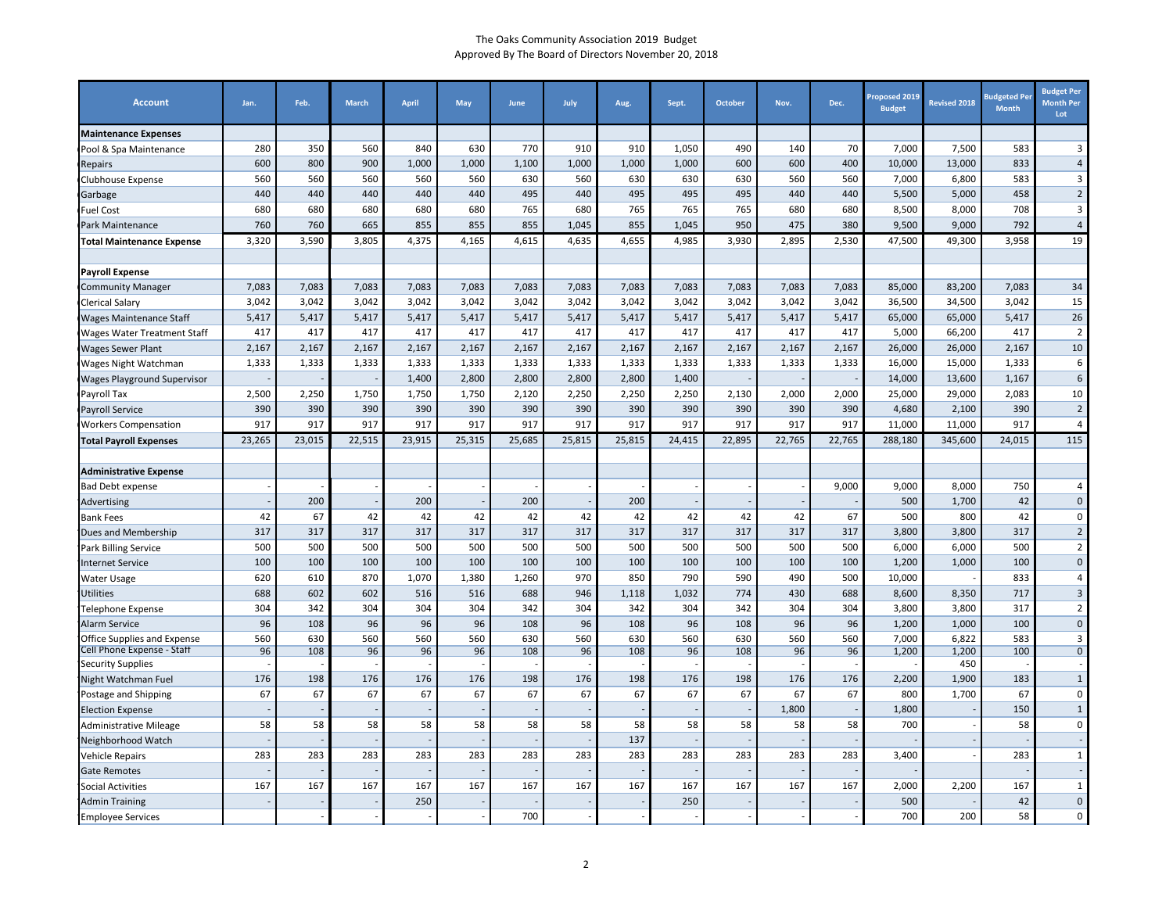| <b>Account</b>                                      | Jan.       | Feb.       | <b>March</b> | <b>April</b> | May          | June         | July       | Aug.         | Sept.        | <b>October</b> | Nov.       | Dec.       | Proposed 2019<br><b>Budget</b> | <b>Revised 2018</b> | <b>Budgeted Per</b><br><b>Month</b> | <b>Budget Per</b><br><b>Month Per</b><br>Lot |
|-----------------------------------------------------|------------|------------|--------------|--------------|--------------|--------------|------------|--------------|--------------|----------------|------------|------------|--------------------------------|---------------------|-------------------------------------|----------------------------------------------|
| <b>Maintenance Expenses</b>                         |            |            |              |              |              |              |            |              |              |                |            |            |                                |                     |                                     |                                              |
| Pool & Spa Maintenance                              | 280        | 350        | 560          | 840          | 630          | 770          | 910        | 910          | 1,050        | 490            | 140        | 70         | 7,000                          | 7,500               | 583                                 | 3                                            |
| Repairs                                             | 600        | 800        | 900          | 1,000        | 1,000        | 1,100        | 1,000      | 1,000        | 1,000        | 600            | 600        | 400        | 10,000                         | 13,000              | 833                                 | $\overline{4}$                               |
| Clubhouse Expense                                   | 560        | 560        | 560          | 560          | 560          | 630          | 560        | 630          | 630          | 630            | 560        | 560        | 7.000                          | 6.800               | 583                                 | $\overline{3}$                               |
| Garbage                                             | 440        | 440        | 440          | 440          | 440          | 495          | 440        | 495          | 495          | 495            | 440        | 440        | 5,500                          | 5,000               | 458                                 | $\overline{2}$                               |
| <b>Fuel Cost</b>                                    | 680        | 680        | 680          | 680          | 680          | 765          | 680        | 765          | 765          | 765            | 680        | 680        | 8,500                          | 8,000               | 708                                 | 3                                            |
| Park Maintenance                                    | 760        | 760        | 665          | 855          | 855          | 855          | 1,045      | 855          | 1,045        | 950            | 475        | 380        | 9,500                          | 9,000               | 792                                 | $\overline{4}$                               |
| <b>Total Maintenance Expense</b>                    | 3,320      | 3,590      | 3,805        | 4,375        | 4,165        | 4,615        | 4,635      | 4,655        | 4,985        | 3,930          | 2,895      | 2,530      | 47,500                         | 49,300              | 3,958                               | 19                                           |
|                                                     |            |            |              |              |              |              |            |              |              |                |            |            |                                |                     |                                     |                                              |
| <b>Payroll Expense</b>                              |            |            |              |              |              |              |            |              |              |                |            |            |                                |                     |                                     |                                              |
| <b>Community Manager</b>                            | 7,083      | 7,083      | 7,083        | 7,083        | 7,083        | 7,083        | 7,083      | 7,083        | 7,083        | 7,083          | 7,083      | 7,083      | 85,000                         | 83,200              | 7,083                               | 34                                           |
| <b>Clerical Salary</b>                              | 3,042      | 3,042      | 3,042        | 3,042        | 3,042        | 3,042        | 3,042      | 3,042        | 3,042        | 3,042          | 3,042      | 3,042      | 36,500                         | 34,500              | 3,042                               | 15                                           |
| Wages Maintenance Staff                             | 5.417      | 5,417      | 5,417        | 5,417        | 5,417        | 5,417        | 5,417      | 5,417        | 5,417        | 5,417          | 5,417      | 5,417      | 65,000                         | 65,000              | 5,417                               | 26                                           |
| <b>Wages Water Treatment Staff</b>                  | 417        | 417        | 417          | 417          | 417          | 417          | 417        | 417          | 417          | 417            | 417        | 417        | 5,000                          | 66,200              | 417                                 | $\overline{2}$                               |
| Wages Sewer Plant                                   | 2,167      | 2,167      | 2,167        | 2,167        | 2,167        | 2,167        | 2,167      | 2,167        | 2,167        | 2,167          | 2,167      | 2,167      | 26,000                         | 26,000              | 2,167                               | 10                                           |
| Wages Night Watchman                                | 1,333      | 1,333      | 1,333        | 1,333        | 1,333        | 1,333        | 1,333      | 1,333        | 1,333        | 1,333          | 1,333      | 1,333      | 16,000                         | 15,000              | 1,333                               | 6                                            |
| <b>Wages Playground Supervisor</b>                  |            |            |              | 1,400        | 2,800        | 2,800        | 2,800      | 2,800        | 1,400        |                |            |            | 14,000                         | 13,600              | 1,167                               | 6                                            |
| Payroll Tax                                         | 2,500      | 2,250      | 1,750        | 1,750        | 1,750        | 2,120        | 2,250      | 2,250        | 2,250        | 2,130          | 2,000      | 2,000      | 25,000                         | 29,000              | 2,083                               | 10                                           |
| Payroll Service                                     | 390        | 390        | 390          | 390          | 390          | 390          | 390        | 390          | 390          | 390            | 390        | 390        | 4,680                          | 2,100               | 390                                 | $\overline{2}$                               |
| <b>Workers Compensation</b>                         | 917        | 917        | 917          | 917          | 917          | 917          | 917        | 917          | 917          | 917            | 917        | 917        | 11,000                         | 11,000              | 917                                 | $\overline{4}$                               |
| <b>Total Payroll Expenses</b>                       | 23,265     | 23,015     | 22,515       | 23,915       | 25,315       | 25,685       | 25,815     | 25,815       | 24,415       | 22,895         | 22,765     | 22,765     | 288,180                        | 345,600             | 24,015                              | 115                                          |
|                                                     |            |            |              |              |              |              |            |              |              |                |            |            |                                |                     |                                     |                                              |
| <b>Administrative Expense</b>                       |            |            |              |              |              |              |            |              |              |                |            |            |                                |                     |                                     |                                              |
| <b>Bad Debt expense</b>                             |            |            |              |              |              |              |            |              |              |                |            | 9,000      | 9,000                          | 8,000               | 750                                 | 4                                            |
| Advertising                                         |            | 200        |              | 200          |              | 200          |            | 200          |              |                |            |            | 500                            | 1,700               | 42                                  | $\mathbf 0$                                  |
| <b>Bank Fees</b>                                    | 42         | 67         | 42           | 42           | 42           | 42           | 42         | 42           | 42           | 42             | 42         | 67         | 500                            | 800                 | 42                                  | $\mathbf 0$                                  |
| Dues and Membership                                 | 317        | 317        | 317          | 317          | 317          | 317          | 317        | 317          | 317          | 317            | 317        | 317        | 3,800                          | 3.800               | 317                                 | $\overline{2}$                               |
| Park Billing Service                                | 500        | 500        | 500          | 500          | 500          | 500          | 500        | 500          | 500          | 500            | 500        | 500        | 6,000                          | 6,000               | 500                                 | $\overline{2}$<br>$\mathbf 0$                |
| <b>Internet Service</b>                             | 100        | 100        | 100          | 100          | 100          | 100          | 100        | 100          | 100          | 100            | 100        | 100        | 1,200                          | 1,000               | 100                                 |                                              |
| Water Usage                                         | 620<br>688 | 610<br>602 | 870<br>602   | 1,070<br>516 | 1,380<br>516 | 1,260<br>688 | 970<br>946 | 850<br>1,118 | 790<br>1,032 | 590<br>774     | 490<br>430 | 500<br>688 | 10,000<br>8,600                | 8,350               | 833<br>717                          | $\overline{4}$<br>3                          |
| <b>Utilities</b>                                    | 304        | 342        | 304          | 304          | 304          | 342          | 304        | 342          | 304          | 342            | 304        | 304        | 3,800                          | 3,800               | 317                                 | $\overline{2}$                               |
| <b>Felephone Expense</b>                            | 96         | 108        | 96           | 96           | 96           | 108          | 96         | 108          | 96           | 108            | 96         | 96         | 1,200                          | 1,000               | 100                                 | $\mathbf 0$                                  |
| Alarm Service<br><b>Office Supplies and Expense</b> | 560        | 630        | 560          | 560          | 560          | 630          | 560        | 630          | 560          | 630            | 560        | 560        | 7,000                          | 6,822               | 583                                 | 3                                            |
| Cell Phone Expense - Staff                          | 96         | 108        | 96           | 96           | 96           | 108          | 96         | 108          | 96           | 108            | 96         | 96         | 1,200                          | 1,200               | 100                                 | $\overline{0}$                               |
| <b>Security Supplies</b>                            |            |            |              |              |              |              |            |              |              |                |            |            |                                | 450                 |                                     |                                              |
| Night Watchman Fuel                                 | 176        | 198        | 176          | 176          | 176          | 198          | 176        | 198          | 176          | 198            | 176        | 176        | 2,200                          | 1,900               | 183                                 | $\mathbf{1}$                                 |
| Postage and Shipping                                | 67         | 67         | 67           | 67           | 67           | 67           | 67         | 67           | 67           | 67             | 67         | 67         | 800                            | 1,700               | 67                                  | $\mathbf 0$                                  |
| <b>Election Expense</b>                             |            |            |              |              |              |              |            |              |              |                | 1,800      |            | 1,800                          |                     | 150                                 | $\mathbf{1}$                                 |
| <b>Administrative Mileage</b>                       | 58         | 58         | 58           | 58           | 58           | 58           | 58         | 58           | 58           | 58             | 58         | 58         | 700                            |                     | 58                                  | $\mathbf 0$                                  |
| Neighborhood Watch                                  |            |            |              |              |              |              |            | 137          |              |                |            |            |                                |                     |                                     |                                              |
| <b>Vehicle Repairs</b>                              | 283        | 283        | 283          | 283          | 283          | 283          | 283        | 283          | 283          | 283            | 283        | 283        | 3,400                          |                     | 283                                 | 1                                            |
| <b>Gate Remotes</b>                                 |            |            |              |              |              |              |            |              |              |                |            |            |                                |                     |                                     |                                              |
| <b>Social Activities</b>                            | 167        | 167        | 167          | 167          | 167          | 167          | 167        | 167          | 167          | 167            | 167        | 167        | 2,000                          | 2,200               | 167                                 | $\mathbf{1}$                                 |
| <b>Admin Training</b>                               |            |            |              | 250          |              |              |            |              | 250          |                |            |            | 500                            |                     | 42                                  | $\mathbf 0$                                  |
| <b>Employee Services</b>                            |            |            |              |              |              | 700          |            |              |              |                |            |            | 700                            | 200                 | 58                                  | 0                                            |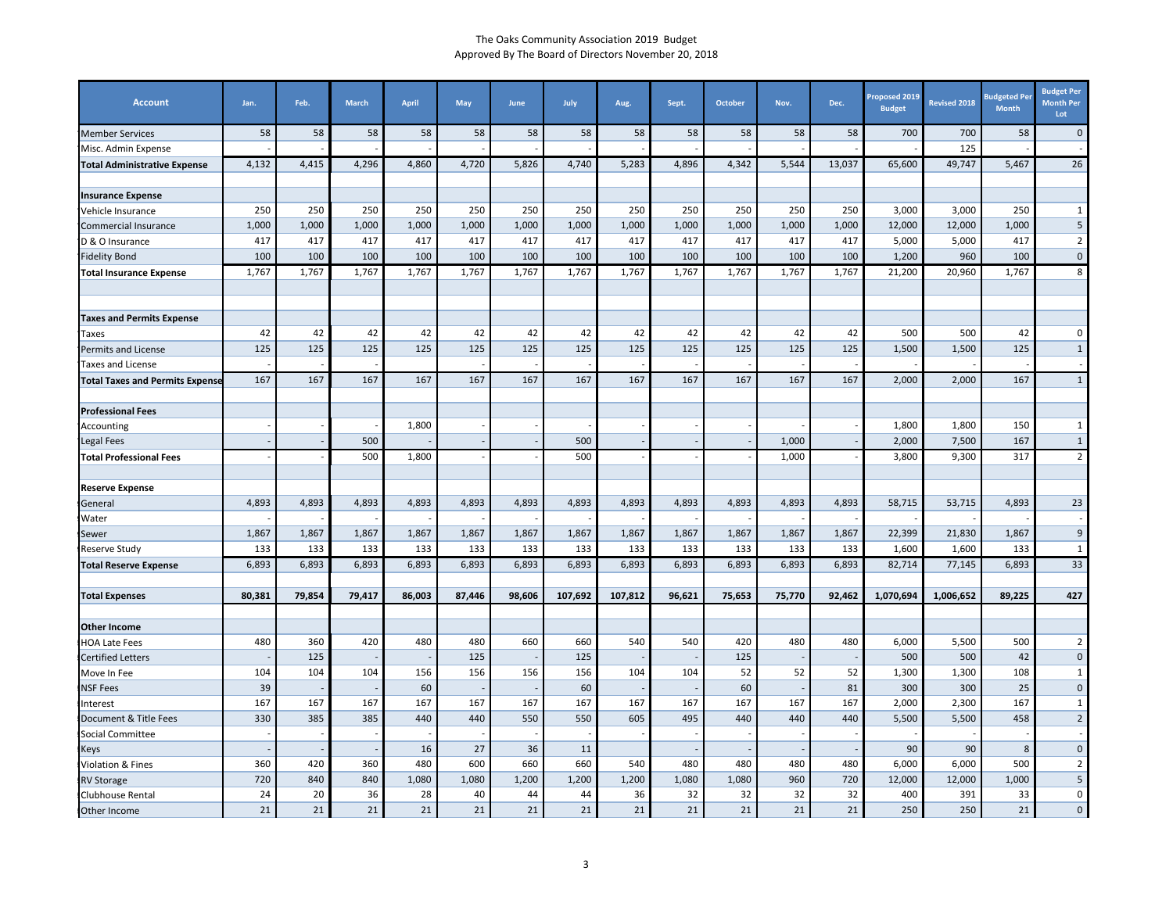| <b>Account</b>                                                                                                                                                                                         | Jan.   | Feb.   | <b>March</b> | April  | May    | June   | July    | Aug.    | Sept.  | October | Nov.   | Dec.   | <b>Proposed 2019</b><br><b>Budget</b> | <b>Revised 2018</b> | <b>Budgeted Pe</b><br><b>Month</b> | <b>Budget Per</b><br><b>Month Per</b><br>Lot |
|--------------------------------------------------------------------------------------------------------------------------------------------------------------------------------------------------------|--------|--------|--------------|--------|--------|--------|---------|---------|--------|---------|--------|--------|---------------------------------------|---------------------|------------------------------------|----------------------------------------------|
| <b>Member Services</b>                                                                                                                                                                                 | 58     | 58     | 58           | 58     | 58     | 58     | 58      | 58      | 58     | 58      | 58     | 58     | 700                                   | 700                 | 58                                 | $\mathbf 0$                                  |
| Misc. Admin Expense                                                                                                                                                                                    |        |        |              |        |        |        |         |         |        |         |        |        |                                       | 125                 |                                    |                                              |
| <b>Total Administrative Expense</b>                                                                                                                                                                    | 4,132  | 4,415  | 4,296        | 4,860  | 4,720  | 5,826  | 4,740   | 5,283   | 4,896  | 4,342   | 5,544  | 13,037 | 65,600                                | 49,747              | 5,467                              | 26                                           |
| <b>Insurance Expense</b>                                                                                                                                                                               |        |        |              |        |        |        |         |         |        |         |        |        |                                       |                     |                                    |                                              |
| Vehicle Insurance                                                                                                                                                                                      | 250    | 250    | 250          | 250    | 250    | 250    | 250     | 250     | 250    | 250     | 250    | 250    | 3,000                                 | 3,000               | 250                                | $\mathbf{1}$                                 |
| Commercial Insurance                                                                                                                                                                                   | 1,000  | 1,000  | 1,000        | 1,000  | 1,000  | 1,000  | 1,000   | 1,000   | 1,000  | 1,000   | 1,000  | 1,000  | 12,000                                | 12,000              | 1,000                              | $5\phantom{.0}$                              |
| D & O Insurance                                                                                                                                                                                        | 417    | 417    | 417          | 417    | 417    | 417    | 417     | 417     | 417    | 417     | 417    | 417    | 5,000                                 | 5,000               | 417                                | $\overline{2}$                               |
| Fidelity Bond                                                                                                                                                                                          | 100    | 100    | 100          | 100    | 100    | 100    | 100     | 100     | 100    | 100     | 100    | 100    | 1,200                                 | 960                 | 100                                | $\mathbf 0$                                  |
| <b>Total Insurance Expense</b>                                                                                                                                                                         | 1,767  | 1,767  | 1,767        | 1,767  | 1,767  | 1,767  | 1,767   | 1,767   | 1,767  | 1,767   | 1,767  | 1,767  | 21,200                                | 20,960              | 1,767                              | 8                                            |
|                                                                                                                                                                                                        |        |        |              |        |        |        |         |         |        |         |        |        |                                       |                     |                                    |                                              |
| <b>Taxes and Permits Expense</b>                                                                                                                                                                       |        |        |              |        |        |        |         |         |        |         |        |        |                                       |                     |                                    |                                              |
| Taxes                                                                                                                                                                                                  | 42     | 42     | 42           | 42     | 42     | 42     | 42      | 42      | 42     | 42      | 42     | 42     | 500                                   | 500                 | 42                                 | 0                                            |
| Permits and License                                                                                                                                                                                    | 125    | 125    | 125          | 125    | 125    | 125    | 125     | 125     | 125    | 125     | 125    | 125    | 1,500                                 | 1,500               | 125                                | $\mathbf{1}$                                 |
| <b>Taxes and License</b>                                                                                                                                                                               |        |        |              |        |        |        |         |         |        |         |        |        |                                       |                     |                                    |                                              |
| <b>Total Taxes and Permits Expense</b>                                                                                                                                                                 | 167    | 167    | 167          | 167    | 167    | 167    | 167     | 167     | 167    | 167     | 167    | 167    | 2,000                                 | 2,000               | 167                                | $\mathbf{1}$                                 |
| <b>Professional Fees</b>                                                                                                                                                                               |        |        |              |        |        |        |         |         |        |         |        |        |                                       |                     |                                    |                                              |
| Accounting                                                                                                                                                                                             |        |        |              | 1,800  |        |        |         |         |        |         |        |        | 1,800                                 | 1,800               | 150                                | 1                                            |
| Legal Fees                                                                                                                                                                                             |        |        | 500          |        |        |        | 500     |         |        |         | 1,000  |        | 2,000                                 | 7,500               | 167                                | $\mathbf{1}$                                 |
| <b>Total Professional Fees</b>                                                                                                                                                                         |        |        | 500          | 1,800  |        |        | 500     |         |        |         | 1,000  |        | 3,800                                 | 9,300               | 317                                | $\overline{2}$                               |
| <b>Reserve Expense</b>                                                                                                                                                                                 |        |        |              |        |        |        |         |         |        |         |        |        |                                       |                     |                                    |                                              |
| General                                                                                                                                                                                                | 4,893  | 4,893  | 4,893        | 4,893  | 4,893  | 4,893  | 4,893   | 4,893   | 4,893  | 4,893   | 4,893  | 4,893  | 58,715                                | 53,715              | 4,893                              | 23                                           |
| Water                                                                                                                                                                                                  |        |        |              |        |        |        |         |         |        |         |        |        |                                       |                     |                                    |                                              |
| Sewer                                                                                                                                                                                                  | 1,867  | 1,867  | 1,867        | 1,867  | 1,867  | 1,867  | 1,867   | 1,867   | 1,867  | 1,867   | 1,867  | 1,867  | 22,399                                | 21,830              | 1,867                              | $\overline{9}$                               |
| Reserve Study                                                                                                                                                                                          | 133    | 133    | 133          | 133    | 133    | 133    | 133     | 133     | 133    | 133     | 133    | 133    | 1,600                                 | 1,600               | 133                                | $\mathbf{1}$                                 |
| <b>Total Reserve Expense</b>                                                                                                                                                                           | 6,893  | 6,893  | 6,893        | 6,893  | 6,893  | 6,893  | 6,893   | 6,893   | 6,893  | 6,893   | 6,893  | 6,893  | 82,714                                | 77,145              | 6,893                              | 33                                           |
| <b>Total Expenses</b>                                                                                                                                                                                  | 80,381 | 79,854 | 79,417       | 86,003 | 87,446 | 98,606 | 107,692 | 107,812 | 96,621 | 75,653  | 75,770 | 92,462 | 1,070,694                             | 1,006,652           | 89,225                             | 427                                          |
| <b>Other Income</b>                                                                                                                                                                                    |        |        |              |        |        |        |         |         |        |         |        |        |                                       |                     |                                    |                                              |
| HOA Late Fees                                                                                                                                                                                          | 480    | 360    | 420          | 480    | 480    | 660    | 660     | 540     | 540    | 420     | 480    | 480    | 6,000                                 | 5,500               | 500                                | $\overline{2}$                               |
| <b>Certified Letters</b>                                                                                                                                                                               |        | 125    |              |        | 125    |        | 125     |         |        | 125     |        |        | 500                                   | 500                 | 42                                 | $\mathbf 0$                                  |
| Move In Fee                                                                                                                                                                                            | 104    | 104    | 104          | 156    | 156    | 156    | 156     | 104     | 104    | 52      | 52     | 52     | 1,300                                 | 1,300               | 108                                | $\mathbf 1$                                  |
| <b>NSF Fees</b>                                                                                                                                                                                        | 39     |        |              | 60     |        |        | 60      |         |        | 60      |        | 81     | 300                                   | 300                 | 25                                 | $\pmb{0}$                                    |
| nterest                                                                                                                                                                                                | 167    | 167    | 167          | 167    | 167    | 167    | 167     | 167     | 167    | 167     | 167    | 167    | 2,000                                 | 2,300               | 167                                | $\mathbf{1}$                                 |
| Document & Title Fees                                                                                                                                                                                  | 330    | 385    | 385          | 440    | 440    | 550    | 550     | 605     | 495    | 440     | 440    | 440    | 5,500                                 | 5,500               | 458                                | $\overline{2}$                               |
| Social Committee                                                                                                                                                                                       |        |        |              |        |        |        |         |         |        |         |        |        |                                       |                     |                                    |                                              |
| <eys< td=""><td></td><td></td><td></td><td>16</td><td>27</td><td>36</td><td>11</td><td></td><td></td><td></td><td></td><td></td><td>90</td><td>90</td><td>8</td><td><math>\mathbf 0</math></td></eys<> |        |        |              | 16     | 27     | 36     | 11      |         |        |         |        |        | 90                                    | 90                  | 8                                  | $\mathbf 0$                                  |
| Violation & Fines                                                                                                                                                                                      | 360    | 420    | 360          | 480    | 600    | 660    | 660     | 540     | 480    | 480     | 480    | 480    | 6,000                                 | 6,000               | 500                                | $\overline{2}$                               |
| <b>RV Storage</b>                                                                                                                                                                                      | 720    | 840    | 840          | 1,080  | 1,080  | 1,200  | 1,200   | 1,200   | 1,080  | 1,080   | 960    | 720    | 12,000                                | 12,000              | 1,000                              | $5\phantom{.0}$                              |
| Clubhouse Rental                                                                                                                                                                                       | 24     | 20     | 36           | 28     | 40     | 44     | 44      | 36      | 32     | 32      | 32     | 32     | 400                                   | 391                 | 33                                 | $\overline{\mathbf{0}}$                      |
| Other Income                                                                                                                                                                                           | 21     | 21     | 21           | 21     | 21     | 21     | 21      | 21      | 21     | 21      | 21     | 21     | 250                                   | 250                 | 21                                 | $\mathbf{0}$                                 |